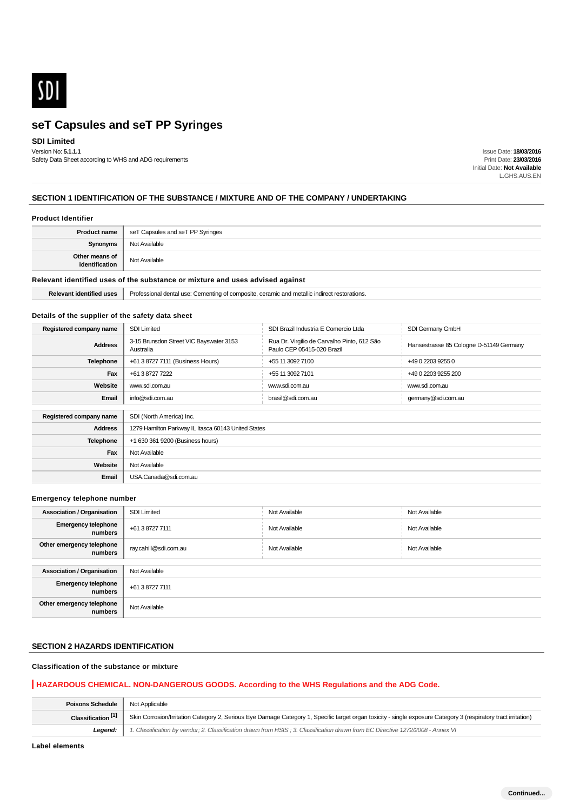

## **SDI Limited**

Version No: **5.1.1.1** Safety Data Sheet according to WHS and ADG requirements

Issue Date: **18/03/2016** Print Date: **23/03/2016** Initial Date: **Not Available** L.GHS.AUS.EN

### **SECTION 1 IDENTIFICATION OF THE SUBSTANCE / MIXTURE AND OF THE COMPANY / UNDERTAKING**

#### **Product Identifier**

| <b>Product name</b>              | seT Capsules and seT PP Syringes |
|----------------------------------|----------------------------------|
| Synonyms                         | Not Available                    |
| Other means of<br>identification | Not Available                    |

# **Relevant identified uses of the substance or mixture and uses advised against**

**Relevant identified uses** Frofessional dental use: Cementing of composite, ceramic and metallic indirect restorations.

#### **Details of the supplier of the safety data sheet**

| Registered company name | <b>SDI Limited</b>                                   | SDI Brazil Industria E Comercio Ltda                                      | SDI Germany GmbH                        |
|-------------------------|------------------------------------------------------|---------------------------------------------------------------------------|-----------------------------------------|
| <b>Address</b>          | 3-15 Brunsdon Street VIC Bayswater 3153<br>Australia | Rua Dr. Virgilio de Carvalho Pinto, 612 São<br>Paulo CEP 05415-020 Brazil | Hansestrasse 85 Cologne D-51149 Germany |
| <b>Telephone</b>        | +61 3 8727 7111 (Business Hours)                     | +55 11 3092 7100                                                          | +49 0 2203 9255 0                       |
| Fax                     | +61 3 8727 7222                                      | +55 11 3092 7101<br>+49 0 2203 9255 200                                   |                                         |
| Website                 | www.sdi.com.au                                       | www.sdi.com.au                                                            | www.sdi.com.au                          |
| Email                   | info@sdi.com.au                                      | brasil@sdi.com.au                                                         | germany@sdi.com.au                      |
|                         |                                                      |                                                                           |                                         |
| Registered company name | SDI (North America) Inc.                             |                                                                           |                                         |
| <b>Address</b>          | 1279 Hamilton Parkway IL Itasca 60143 United States  |                                                                           |                                         |
| <b>Telephone</b>        | +1 630 361 9200 (Business hours)                     |                                                                           |                                         |
| Fax                     | Not Available                                        |                                                                           |                                         |
| Website                 | Not Available                                        |                                                                           |                                         |
| Email                   | USA.Canada@sdi.com.au                                |                                                                           |                                         |

#### **Emergency telephone number**

| <b>Association / Organisation</b>     | <b>SDI Limited</b>    | Not Available | Not Available |
|---------------------------------------|-----------------------|---------------|---------------|
| <b>Emergency telephone</b><br>numbers | +61 3 8727 7111       | Not Available | Not Available |
| Other emergency telephone<br>numbers  | ray.cahill@sdi.com.au | Not Available | Not Available |
|                                       |                       |               |               |
| <b>Association / Organisation</b>     | Not Available         |               |               |
| <b>Emergency telephone</b><br>numbers | +61 3 8727 7111       |               |               |
| Other emergency telephone<br>numbers  | Not Available         |               |               |

### **SECTION 2 HAZARDS IDENTIFICATION**

# **Classification of the substance or mixture**

# **HAZARDOUS CHEMICAL. NON-DANGEROUS GOODS. According to the WHS Regulations and the ADG Code.**

| <b>Poisons Schedule</b>       | Not Applicable                                                                                                                                                  |
|-------------------------------|-----------------------------------------------------------------------------------------------------------------------------------------------------------------|
| Classification <sup>[1]</sup> | Skin Corrosion/Irritation Category 2, Serious Eye Damage Category 1, Specific target organ toxicity - single exposure Category 3 (respiratory tract irritation) |
| Leaend:                       | 1. Classification by vendor; 2. Classification drawn from HSIS; 3. Classification drawn from EC Directive 1272/2008 - Annex VI                                  |

**Label elements**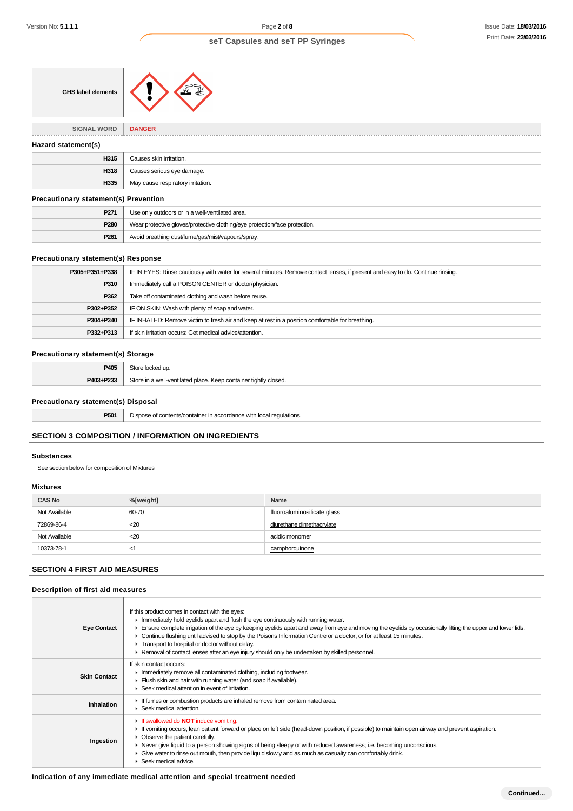| <b>GHS label elements</b>                    |                                                                            |
|----------------------------------------------|----------------------------------------------------------------------------|
| <b>SIGNAL WORD</b>                           | <b>DANGER</b>                                                              |
| Hazard statement(s)                          |                                                                            |
| H315                                         | Causes skin irritation.                                                    |
| H318                                         | Causes serious eye damage.                                                 |
| H335                                         | May cause respiratory irritation.                                          |
| <b>Precautionary statement(s) Prevention</b> |                                                                            |
| P271                                         | Use only outdoors or in a well-ventilated area.                            |
| P280                                         | Wear protective gloves/protective clothing/eye protection/face protection. |

# **Precautionary statement(s) Response**

| P305+P351+P338 | IF IN EYES: Rinse cautiously with water for several minutes. Remove contact lenses, if present and easy to do. Continue rinsing. |
|----------------|----------------------------------------------------------------------------------------------------------------------------------|
| P310           | Immediately call a POISON CENTER or doctor/physician.                                                                            |
| P362           | Take off contaminated clothing and wash before reuse.                                                                            |
| P302+P352      | IF ON SKIN: Wash with plenty of soap and water.                                                                                  |
| P304+P340      | IF INHALED: Remove victim to fresh air and keep at rest in a position comfortable for breathing.                                 |
| P332+P313      | If skin irritation occurs: Get medical advice/attention.                                                                         |

### **Precautionary statement(s) Storage**

| P405             | 1 UD                                                                                                       |
|------------------|------------------------------------------------------------------------------------------------------------|
| <b>DA03.D222</b> | $C_{\text{t} \cap \text{r} \cap \text{t}}$<br>e in a well-ventilated place. Keep container tightly closed. |

#### **Precautionary statement(s) Disposal**

**P501** Dispose of contents/container in accordance with local regulations.

**P261** Avoid breathing dust/fume/gas/mist/vapours/spray.

# **SECTION 3 COMPOSITION / INFORMATION ON INGREDIENTS**

#### **Substances**

See section below for composition of Mixtures

### **Mixtures**

| <b>CAS No</b> | %[weight] | <b>Name</b>                 |
|---------------|-----------|-----------------------------|
| Not Available | 60-70     | fluoroaluminosilicate glass |
| 72869-86-4    | $20$      | diurethane dimethacrylate   |
| Not Available | $20$      | acidic monomer              |
| 10373-78-1    | $\lt'$    | camphorquinone              |

# **SECTION 4 FIRST AID MEASURES**

# **Description of first aid measures**

| <b>Eye Contact</b>  | If this product comes in contact with the eyes:<br>Inmediately hold eyelids apart and flush the eye continuously with running water.<br>Ensure complete irrigation of the eye by keeping eyelids apart and away from eye and moving the eyelids by occasionally lifting the upper and lower lids.<br>► Continue flushing until advised to stop by the Poisons Information Centre or a doctor, or for at least 15 minutes.<br>Transport to hospital or doctor without delay.<br>► Removal of contact lenses after an eye injury should only be undertaken by skilled personnel. |
|---------------------|--------------------------------------------------------------------------------------------------------------------------------------------------------------------------------------------------------------------------------------------------------------------------------------------------------------------------------------------------------------------------------------------------------------------------------------------------------------------------------------------------------------------------------------------------------------------------------|
| <b>Skin Contact</b> | If skin contact occurs:<br>In Immediately remove all contaminated clothing, including footwear.<br>Flush skin and hair with running water (and soap if available).<br>Seek medical attention in event of irritation.                                                                                                                                                                                                                                                                                                                                                           |
| Inhalation          | If fumes or combustion products are inhaled remove from contaminated area.<br>$\blacktriangleright$ Seek medical attention.                                                                                                                                                                                                                                                                                                                                                                                                                                                    |
| Ingestion           | <b>If swallowed do NOT induce vomiting.</b><br>If vomiting occurs, lean patient forward or place on left side (head-down position, if possible) to maintain open airway and prevent aspiration.<br>• Observe the patient carefully.<br>► Never give liquid to a person showing signs of being sleepy or with reduced awareness; i.e. becoming unconscious.<br>• Give water to rinse out mouth, then provide liquid slowly and as much as casualty can comfortably drink.<br>Seek medical advice.                                                                               |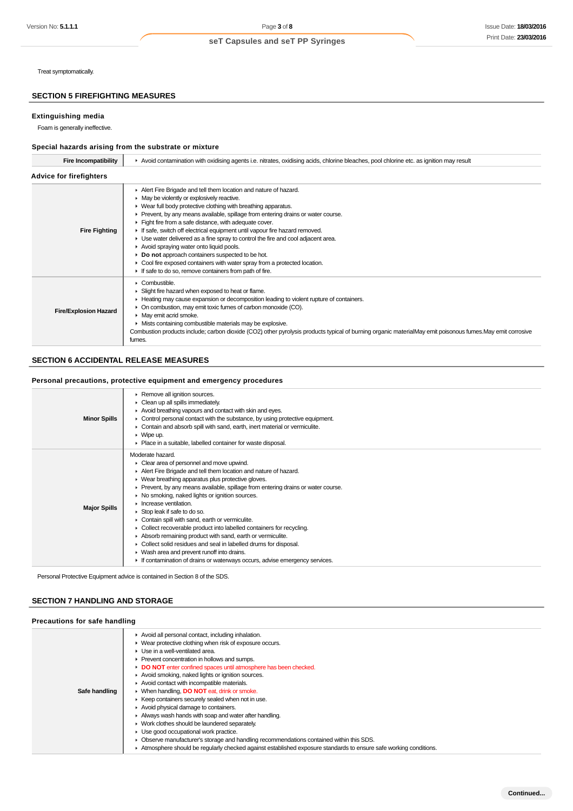# **SECTION 5 FIREFIGHTING MEASURES**

#### **Extinguishing media**

# **Special hazards arising from the substrate or mixture**

| Version No: <b>5.1.1.1</b>                            | Page 3 of 8                                                                                                                                                                                                                                                                                                                                                                                                                                                                                                                                                                                                                                                                                                                                                                                                                                                                          | <b>Issue Date: 18/03/20</b> |
|-------------------------------------------------------|--------------------------------------------------------------------------------------------------------------------------------------------------------------------------------------------------------------------------------------------------------------------------------------------------------------------------------------------------------------------------------------------------------------------------------------------------------------------------------------------------------------------------------------------------------------------------------------------------------------------------------------------------------------------------------------------------------------------------------------------------------------------------------------------------------------------------------------------------------------------------------------|-----------------------------|
|                                                       | seT Capsules and seT PP Syringes                                                                                                                                                                                                                                                                                                                                                                                                                                                                                                                                                                                                                                                                                                                                                                                                                                                     | Print Date: 23/03/20        |
|                                                       |                                                                                                                                                                                                                                                                                                                                                                                                                                                                                                                                                                                                                                                                                                                                                                                                                                                                                      |                             |
| Treat symptomatically.                                |                                                                                                                                                                                                                                                                                                                                                                                                                                                                                                                                                                                                                                                                                                                                                                                                                                                                                      |                             |
| <b>SECTION 5 FIREFIGHTING MEASURES</b>                |                                                                                                                                                                                                                                                                                                                                                                                                                                                                                                                                                                                                                                                                                                                                                                                                                                                                                      |                             |
| Extinguishing media<br>Foam is generally ineffective. |                                                                                                                                                                                                                                                                                                                                                                                                                                                                                                                                                                                                                                                                                                                                                                                                                                                                                      |                             |
|                                                       | Special hazards arising from the substrate or mixture                                                                                                                                                                                                                                                                                                                                                                                                                                                                                                                                                                                                                                                                                                                                                                                                                                |                             |
| <b>Fire Incompatibility</b>                           | ▶ Avoid contamination with oxidising agents i.e. nitrates, oxidising acids, chlorine bleaches, pool chlorine etc. as ignition may result                                                                                                                                                                                                                                                                                                                                                                                                                                                                                                                                                                                                                                                                                                                                             |                             |
| <b>Advice for firefighters</b>                        |                                                                                                                                                                                                                                                                                                                                                                                                                                                                                                                                                                                                                                                                                                                                                                                                                                                                                      |                             |
| <b>Fire Fighting</b>                                  | Alert Fire Brigade and tell them location and nature of hazard.<br>• May be violently or explosively reactive.<br>• Wear full body protective clothing with breathing apparatus.<br>Prevent, by any means available, spillage from entering drains or water course.<br>Fight fire from a safe distance, with adequate cover.<br>If safe, switch off electrical equipment until vapour fire hazard removed.<br>• Use water delivered as a fine spray to control the fire and cool adjacent area.<br>Avoid spraying water onto liquid pools.<br>Do not approach containers suspected to be hot.<br>• Cool fire exposed containers with water spray from a protected location.<br>If safe to do so, remove containers from path of fire.                                                                                                                                                |                             |
| <b>Fire/Explosion Hazard</b>                          | Combustible.<br>Slight fire hazard when exposed to heat or flame.<br>Heating may cause expansion or decomposition leading to violent rupture of containers.<br>• On combustion, may emit toxic fumes of carbon monoxide (CO).<br>• May emit acrid smoke.<br>Mists containing combustible materials may be explosive.<br>Combustion products include; carbon dioxide (CO2) other pyrolysis products typical of burning organic materialMay emit poisonous fumes. May emit corrosive<br>fumes.                                                                                                                                                                                                                                                                                                                                                                                         |                             |
| <b>SECTION 6 ACCIDENTAL RELEASE MEASURES</b>          |                                                                                                                                                                                                                                                                                                                                                                                                                                                                                                                                                                                                                                                                                                                                                                                                                                                                                      |                             |
|                                                       |                                                                                                                                                                                                                                                                                                                                                                                                                                                                                                                                                                                                                                                                                                                                                                                                                                                                                      |                             |
|                                                       | Personal precautions, protective equipment and emergency procedures                                                                                                                                                                                                                                                                                                                                                                                                                                                                                                                                                                                                                                                                                                                                                                                                                  |                             |
| <b>Minor Spills</b>                                   | Remove all ignition sources.<br>Clean up all spills immediately.<br>Avoid breathing vapours and contact with skin and eyes.<br>• Control personal contact with the substance, by using protective equipment.<br>• Contain and absorb spill with sand, earth, inert material or vermiculite.<br>$\triangleright$ Wipe up.<br>• Place in a suitable, labelled container for waste disposal.                                                                                                                                                                                                                                                                                                                                                                                                                                                                                            |                             |
| <b>Major Spills</b>                                   | Moderate hazard.<br>Clear area of personnel and move upwind.<br>Alert Fire Brigade and tell them location and nature of hazard.<br>• Wear breathing apparatus plus protective gloves.<br>▶ Prevent, by any means available, spillage from entering drains or water course.<br>• No smoking, naked lights or ignition sources.<br>Increase ventilation.<br>Stop leak if safe to do so.<br>Contain spill with sand, earth or vermiculite.<br>• Collect recoverable product into labelled containers for recycling.<br>Absorb remaining product with sand, earth or vermiculite.<br>• Collect solid residues and seal in labelled drums for disposal.<br>• Wash area and prevent runoff into drains.<br>If contamination of drains or waterways occurs, advise emergency services.                                                                                                      |                             |
|                                                       | Personal Protective Equipment advice is contained in Section 8 of the SDS.                                                                                                                                                                                                                                                                                                                                                                                                                                                                                                                                                                                                                                                                                                                                                                                                           |                             |
| <b>SECTION 7 HANDLING AND STORAGE</b>                 |                                                                                                                                                                                                                                                                                                                                                                                                                                                                                                                                                                                                                                                                                                                                                                                                                                                                                      |                             |
| Precautions for safe handling                         |                                                                                                                                                                                                                                                                                                                                                                                                                                                                                                                                                                                                                                                                                                                                                                                                                                                                                      |                             |
| Safe handling                                         | Avoid all personal contact, including inhalation.<br>• Wear protective clothing when risk of exposure occurs.<br>Use in a well-ventilated area.<br>Prevent concentration in hollows and sumps.<br>DO NOT enter confined spaces until atmosphere has been checked.<br>Avoid smoking, naked lights or ignition sources.<br>Avoid contact with incompatible materials.<br>▶ When handling, DO NOT eat, drink or smoke.<br>► Keep containers securely sealed when not in use.<br>Avoid physical damage to containers.<br>Always wash hands with soap and water after handling.<br>• Work clothes should be laundered separately.<br>Use good occupational work practice.<br>▶ Observe manufacturer's storage and handling recommendations contained within this SDS.<br>Atmosphere should be regularly checked against established exposure standards to ensure safe working conditions. |                             |

# **SECTION 6 ACCIDENTAL RELEASE MEASURES**

#### **Personal precautions, protective equipment and emergency procedures**

| <b>Minor Spills</b> | Remove all ignition sources.<br>Clean up all spills immediately.<br>Avoid breathing vapours and contact with skin and eyes.<br>$\blacktriangleright$ Control personal contact with the substance, by using protective equipment.<br>• Contain and absorb spill with sand, earth, inert material or vermiculite.<br>$\triangleright$ Wipe up.<br>▶ Place in a suitable, labelled container for waste disposal.                                                                                                                                                                                                                                                                                                                                                                     |
|---------------------|-----------------------------------------------------------------------------------------------------------------------------------------------------------------------------------------------------------------------------------------------------------------------------------------------------------------------------------------------------------------------------------------------------------------------------------------------------------------------------------------------------------------------------------------------------------------------------------------------------------------------------------------------------------------------------------------------------------------------------------------------------------------------------------|
| <b>Major Spills</b> | Moderate hazard.<br>• Clear area of personnel and move upwind.<br>Alert Fire Brigade and tell them location and nature of hazard.<br>▶ Wear breathing apparatus plus protective gloves.<br>► Prevent, by any means available, spillage from entering drains or water course.<br>• No smoking, naked lights or ignition sources.<br>Increase ventilation.<br>Stop leak if safe to do so.<br>Contain spill with sand, earth or vermiculite.<br>▶ Collect recoverable product into labelled containers for recycling.<br>Absorb remaining product with sand, earth or vermiculite.<br>• Collect solid residues and seal in labelled drums for disposal.<br>▶ Wash area and prevent runoff into drains.<br>If contamination of drains or waterways occurs, advise emergency services. |

# **SECTION 7 HANDLING AND STORAGE**

### **Precautions for safe handling**

|               | Avoid all personal contact, including inhalation.                                                               |
|---------------|-----------------------------------------------------------------------------------------------------------------|
|               | ▶ Wear protective clothing when risk of exposure occurs.                                                        |
|               | $\blacktriangleright$ Use in a well-ventilated area.                                                            |
|               | ▶ Prevent concentration in hollows and sumps.                                                                   |
|               | DO NOT enter confined spaces until atmosphere has been checked.                                                 |
|               | Avoid smoking, naked lights or ignition sources.                                                                |
|               | Avoid contact with incompatible materials.                                                                      |
| Safe handling | ▶ When handling, DO NOT eat, drink or smoke.                                                                    |
|               | ▶ Keep containers securely sealed when not in use.                                                              |
|               | Avoid physical damage to containers.                                                                            |
|               | Always wash hands with soap and water after handling.                                                           |
|               | • Work clothes should be laundered separately.                                                                  |
|               | • Use good occupational work practice.                                                                          |
|               | • Observe manufacturer's storage and handling recommendations contained within this SDS.                        |
|               | Atmosphere should be requisity checked against established exposure standards to ensure safe working conditions |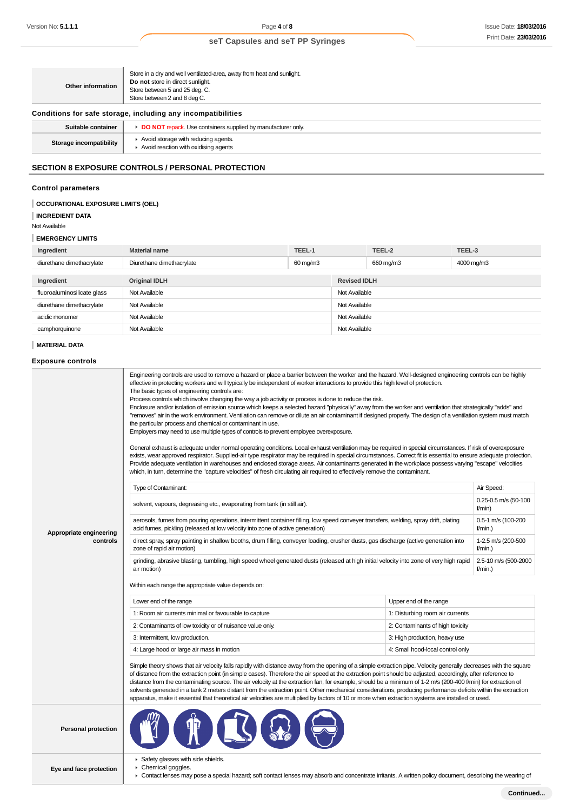| Other information       | Store in a dry and well ventilated-area, away from heat and sunlight.<br>Do not store in direct sunlight.<br>Store between 5 and 25 deg. C.<br>Store between 2 and 8 deg C. |
|-------------------------|-----------------------------------------------------------------------------------------------------------------------------------------------------------------------------|
|                         | Conditions for safe storage, including any incompatibilities                                                                                                                |
| Suitable container      | DO NOT repack. Use containers supplied by manufacturer only.                                                                                                                |
| Storage incompatibility | Avoid storage with reducing agents.<br>$\blacktriangleright$ Avoid reaction with oxidising agents                                                                           |
|                         | <b>SECTION 8 EXPOSURE CONTROLS / PERSONAL PROTECTION</b>                                                                                                                    |

# **Control parameters**

| OCCUPATIONAL EXPOSURE LIMITS (OEL) |  |
|------------------------------------|--|
|                                    |  |

# **INGREDIENT DATA**

Not Available

# **EMERGENCY LIMITS**

| Ingredient                  | <b>Material name</b>      | TEEL-1   |                     | TEEL-2    | TEEL-3     |
|-----------------------------|---------------------------|----------|---------------------|-----------|------------|
| diurethane dimethacrylate   | Diurethane dimethacrylate | 60 mg/m3 |                     | 660 mg/m3 | 4000 mg/m3 |
|                             |                           |          |                     |           |            |
| Ingredient                  | <b>Original IDLH</b>      |          | <b>Revised IDLH</b> |           |            |
| fluoroaluminosilicate glass | Not Available             |          | Not Available       |           |            |
| diurethane dimethacrylate   | Not Available             |          | Not Available       |           |            |
| acidic monomer              | Not Available             |          | Not Available       |           |            |
| camphorquinone              | Not Available             |          | Not Available       |           |            |

# **MATERIAL DATA**

# **Exposure controls**

|                            | Engineering controls are used to remove a hazard or place a barrier between the worker and the hazard. Well-designed engineering controls can be highly<br>effective in protecting workers and will typically be independent of worker interactions to provide this high level of protection.<br>The basic types of engineering controls are:<br>Process controls which involve changing the way a job activity or process is done to reduce the risk.<br>Enclosure and/or isolation of emission source which keeps a selected hazard "physically" away from the worker and ventilation that strategically "adds" and<br>"removes" air in the work environment. Ventilation can remove or dilute an air contaminant if designed properly. The design of a ventilation system must match<br>the particular process and chemical or contaminant in use.<br>Employers may need to use multiple types of controls to prevent employee overexposure.<br>General exhaust is adequate under normal operating conditions. Local exhaust ventilation may be required in special circumstances. If risk of overexposure<br>exists, wear approved respirator. Supplied-air type respirator may be required in special circumstances. Correct fit is essential to ensure adequate protection.<br>Provide adequate ventilation in warehouses and enclosed storage areas. Air contaminants generated in the workplace possess varying "escape" velocities<br>which, in turn, determine the "capture velocities" of fresh circulating air required to effectively remove the contaminant. |                                  |                                |  |
|----------------------------|----------------------------------------------------------------------------------------------------------------------------------------------------------------------------------------------------------------------------------------------------------------------------------------------------------------------------------------------------------------------------------------------------------------------------------------------------------------------------------------------------------------------------------------------------------------------------------------------------------------------------------------------------------------------------------------------------------------------------------------------------------------------------------------------------------------------------------------------------------------------------------------------------------------------------------------------------------------------------------------------------------------------------------------------------------------------------------------------------------------------------------------------------------------------------------------------------------------------------------------------------------------------------------------------------------------------------------------------------------------------------------------------------------------------------------------------------------------------------------------------------------------------------------------------------------------------------|----------------------------------|--------------------------------|--|
|                            | Type of Contaminant:                                                                                                                                                                                                                                                                                                                                                                                                                                                                                                                                                                                                                                                                                                                                                                                                                                                                                                                                                                                                                                                                                                                                                                                                                                                                                                                                                                                                                                                                                                                                                       |                                  | Air Speed:                     |  |
|                            | solvent, vapours, degreasing etc., evaporating from tank (in still air).                                                                                                                                                                                                                                                                                                                                                                                                                                                                                                                                                                                                                                                                                                                                                                                                                                                                                                                                                                                                                                                                                                                                                                                                                                                                                                                                                                                                                                                                                                   |                                  | 0.25-0.5 m/s (50-100<br>f/min) |  |
| Appropriate engineering    | aerosols, fumes from pouring operations, intermittent container filling, low speed conveyer transfers, welding, spray drift, plating<br>acid fumes, pickling (released at low velocity into zone of active generation)                                                                                                                                                                                                                                                                                                                                                                                                                                                                                                                                                                                                                                                                                                                                                                                                                                                                                                                                                                                                                                                                                                                                                                                                                                                                                                                                                     |                                  | 0.5-1 m/s (100-200<br>f/min.)  |  |
| controls                   | direct spray, spray painting in shallow booths, drum filling, conveyer loading, crusher dusts, gas discharge (active generation into<br>zone of rapid air motion)                                                                                                                                                                                                                                                                                                                                                                                                                                                                                                                                                                                                                                                                                                                                                                                                                                                                                                                                                                                                                                                                                                                                                                                                                                                                                                                                                                                                          |                                  |                                |  |
|                            | grinding, abrasive blasting, tumbling, high speed wheel generated dusts (released at high initial velocity into zone of very high rapid<br>air motion)                                                                                                                                                                                                                                                                                                                                                                                                                                                                                                                                                                                                                                                                                                                                                                                                                                                                                                                                                                                                                                                                                                                                                                                                                                                                                                                                                                                                                     |                                  |                                |  |
|                            | Within each range the appropriate value depends on:                                                                                                                                                                                                                                                                                                                                                                                                                                                                                                                                                                                                                                                                                                                                                                                                                                                                                                                                                                                                                                                                                                                                                                                                                                                                                                                                                                                                                                                                                                                        |                                  |                                |  |
|                            | Lower end of the range                                                                                                                                                                                                                                                                                                                                                                                                                                                                                                                                                                                                                                                                                                                                                                                                                                                                                                                                                                                                                                                                                                                                                                                                                                                                                                                                                                                                                                                                                                                                                     | Upper end of the range           |                                |  |
|                            | 1: Room air currents minimal or favourable to capture                                                                                                                                                                                                                                                                                                                                                                                                                                                                                                                                                                                                                                                                                                                                                                                                                                                                                                                                                                                                                                                                                                                                                                                                                                                                                                                                                                                                                                                                                                                      | 1: Disturbing room air currents  |                                |  |
|                            | 2: Contaminants of low toxicity or of nuisance value only.                                                                                                                                                                                                                                                                                                                                                                                                                                                                                                                                                                                                                                                                                                                                                                                                                                                                                                                                                                                                                                                                                                                                                                                                                                                                                                                                                                                                                                                                                                                 | 2: Contaminants of high toxicity |                                |  |
|                            | 3: Intermittent, low production.                                                                                                                                                                                                                                                                                                                                                                                                                                                                                                                                                                                                                                                                                                                                                                                                                                                                                                                                                                                                                                                                                                                                                                                                                                                                                                                                                                                                                                                                                                                                           | 3: High production, heavy use    |                                |  |
|                            | 4: Large hood or large air mass in motion                                                                                                                                                                                                                                                                                                                                                                                                                                                                                                                                                                                                                                                                                                                                                                                                                                                                                                                                                                                                                                                                                                                                                                                                                                                                                                                                                                                                                                                                                                                                  | 4: Small hood-local control only |                                |  |
|                            | Simple theory shows that air velocity falls rapidly with distance away from the opening of a simple extraction pipe. Velocity generally decreases with the square<br>of distance from the extraction point (in simple cases). Therefore the air speed at the extraction point should be adjusted, accordingly, after reference to<br>distance from the contaminating source. The air velocity at the extraction fan, for example, should be a minimum of 1-2 m/s (200-400 f/min) for extraction of<br>solvents generated in a tank 2 meters distant from the extraction point. Other mechanical considerations, producing performance deficits within the extraction<br>apparatus, make it essential that theoretical air velocities are multiplied by factors of 10 or more when extraction systems are installed or used.                                                                                                                                                                                                                                                                                                                                                                                                                                                                                                                                                                                                                                                                                                                                                |                                  |                                |  |
| <b>Personal protection</b> |                                                                                                                                                                                                                                                                                                                                                                                                                                                                                                                                                                                                                                                                                                                                                                                                                                                                                                                                                                                                                                                                                                                                                                                                                                                                                                                                                                                                                                                                                                                                                                            |                                  |                                |  |
| Eye and face protection    | Safety glasses with side shields.<br>Chemical goggles.<br>▶ Contact lenses may pose a special hazard; soft contact lenses may absorb and concentrate irritants. A written policy document, describing the wearing of                                                                                                                                                                                                                                                                                                                                                                                                                                                                                                                                                                                                                                                                                                                                                                                                                                                                                                                                                                                                                                                                                                                                                                                                                                                                                                                                                       |                                  |                                |  |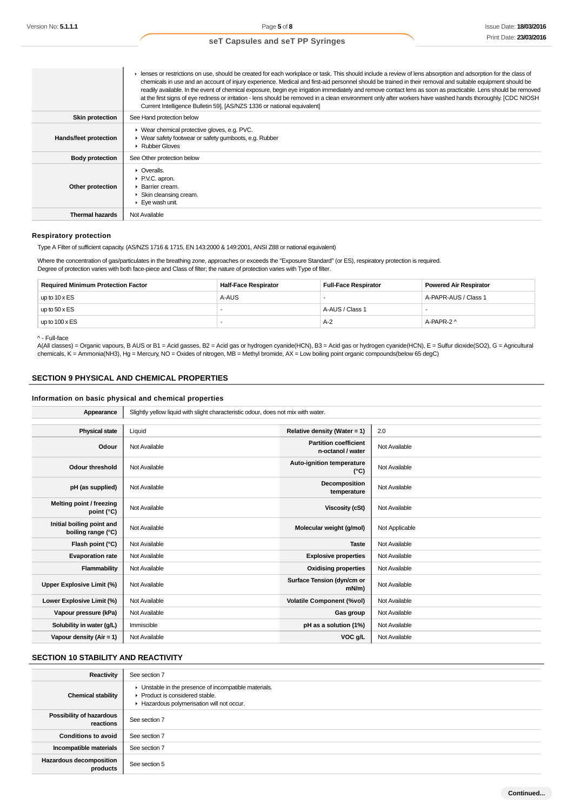|                        | Express or restrictions on use, should be created for each workplace or task. This should include a review of lens absorption and adsorption for the class of<br>chemicals in use and an account of injury experience. Medical and first-aid personnel should be trained in their removal and suitable equipment should be<br>readily available. In the event of chemical exposure, begin eye irrigation immediately and remove contact lens as soon as practicable. Lens should be removed<br>at the first signs of eye redness or irritation - lens should be removed in a clean environment only after workers have washed hands thoroughly. [CDC NIOSH<br>Current Intelligence Bulletin 59], [AS/NZS 1336 or national equivalent] |
|------------------------|---------------------------------------------------------------------------------------------------------------------------------------------------------------------------------------------------------------------------------------------------------------------------------------------------------------------------------------------------------------------------------------------------------------------------------------------------------------------------------------------------------------------------------------------------------------------------------------------------------------------------------------------------------------------------------------------------------------------------------------|
| <b>Skin protection</b> | See Hand protection below                                                                                                                                                                                                                                                                                                                                                                                                                                                                                                                                                                                                                                                                                                             |
| Hands/feet protection  | ▶ Wear chemical protective gloves, e.g. PVC.<br>• Wear safety footwear or safety gumboots, e.g. Rubber<br>Rubber Gloves                                                                                                                                                                                                                                                                                                                                                                                                                                                                                                                                                                                                               |
| <b>Body protection</b> | See Other protection below                                                                                                                                                                                                                                                                                                                                                                                                                                                                                                                                                                                                                                                                                                            |
| Other protection       | $\triangleright$ Overalls.<br>P.V.C. apron.<br>▶ Barrier cream.<br>▶ Skin cleansing cream.<br>Eye wash unit.                                                                                                                                                                                                                                                                                                                                                                                                                                                                                                                                                                                                                          |
| <b>Thermal hazards</b> | Not Available                                                                                                                                                                                                                                                                                                                                                                                                                                                                                                                                                                                                                                                                                                                         |

#### **Respiratory protection**

Type A Filter of sufficient capacity. (AS/NZS 1716 & 1715, EN 143:2000 & 149:2001, ANSI Z88 or national equivalent)

Where the concentration of gas/particulates in the breathing zone, approaches or exceeds the "Exposure Standard" (or ES), respiratory protection is required. Degree of protection varies with both face-piece and Class of filter; the nature of protection varies with Type of filter.

| <b>Required Minimum Protection Factor</b> | <b>Half-Face Respirator</b> | Full-Face Respirator | <b>Powered Air Respirator</b> |
|-------------------------------------------|-----------------------------|----------------------|-------------------------------|
| up to $10 \times ES$                      | A-AUS                       |                      | A-PAPR-AUS / Class 1          |
| up to $50 \times ES$                      |                             | A-AUS / Class 1      |                               |
| up to $100 \times ES$                     |                             | $A-2$                | A-PAPR-2 ^                    |

#### ^ - Full-face

A(All classes) = Organic vapours, B AUS or B1 = Acid gasses, B2 = Acid gas or hydrogen cyanide(HCN), B3 = Acid gas or hydrogen cyanide(HCN), E = Sulfur dioxide(SO2), G = Agricultural chemicals, K = Ammonia(NH3), Hg = Mercury, NO = Oxides of nitrogen, MB = Methyl bromide, AX = Low boiling point organic compounds(below 65 degC)

# **SECTION 9 PHYSICAL AND CHEMICAL PROPERTIES**

# **Information on basic physical and chemical properties**

| Appearance                                      | Slightly yellow liquid with slight characteristic odour, does not mix with water. |                                                   |                |  |
|-------------------------------------------------|-----------------------------------------------------------------------------------|---------------------------------------------------|----------------|--|
|                                                 |                                                                                   |                                                   |                |  |
| <b>Physical state</b>                           | Liquid                                                                            | Relative density (Water = 1)                      | 2.0            |  |
| Odour                                           | Not Available                                                                     | <b>Partition coefficient</b><br>n-octanol / water | Not Available  |  |
| <b>Odour threshold</b>                          | Not Available                                                                     | Auto-ignition temperature<br>$(^{\circ}C)$        | Not Available  |  |
| pH (as supplied)                                | Not Available                                                                     | Decomposition<br>temperature                      | Not Available  |  |
| Melting point / freezing<br>point (°C)          | Not Available                                                                     | <b>Viscosity (cSt)</b>                            | Not Available  |  |
| Initial boiling point and<br>boiling range (°C) | Not Available                                                                     | Molecular weight (g/mol)                          | Not Applicable |  |
| Flash point (°C)                                | Not Available                                                                     | <b>Taste</b>                                      | Not Available  |  |
| <b>Evaporation rate</b>                         | Not Available                                                                     | <b>Explosive properties</b>                       | Not Available  |  |
| Flammability                                    | Not Available                                                                     | <b>Oxidising properties</b>                       | Not Available  |  |
| Upper Explosive Limit (%)                       | Not Available                                                                     | Surface Tension (dyn/cm or<br>$mN/m$ )            | Not Available  |  |
| Lower Explosive Limit (%)                       | Not Available                                                                     | <b>Volatile Component (%vol)</b>                  | Not Available  |  |
| Vapour pressure (kPa)                           | Not Available                                                                     | Gas group                                         | Not Available  |  |
| Solubility in water (g/L)                       | Immiscible                                                                        | pH as a solution (1%)                             | Not Available  |  |
| Vapour density ( $Air = 1$ )                    | Not Available                                                                     | VOC g/L                                           | Not Available  |  |

# **SECTION 10 STABILITY AND REACTIVITY**

| Reactivity                                 | See section 7                                                                                                                        |
|--------------------------------------------|--------------------------------------------------------------------------------------------------------------------------------------|
| <b>Chemical stability</b>                  | • Unstable in the presence of incompatible materials.<br>▶ Product is considered stable.<br>Hazardous polymerisation will not occur. |
| Possibility of hazardous<br>reactions      | See section 7                                                                                                                        |
| <b>Conditions to avoid</b>                 | See section 7                                                                                                                        |
| Incompatible materials                     | See section 7                                                                                                                        |
| <b>Hazardous decomposition</b><br>products | See section 5                                                                                                                        |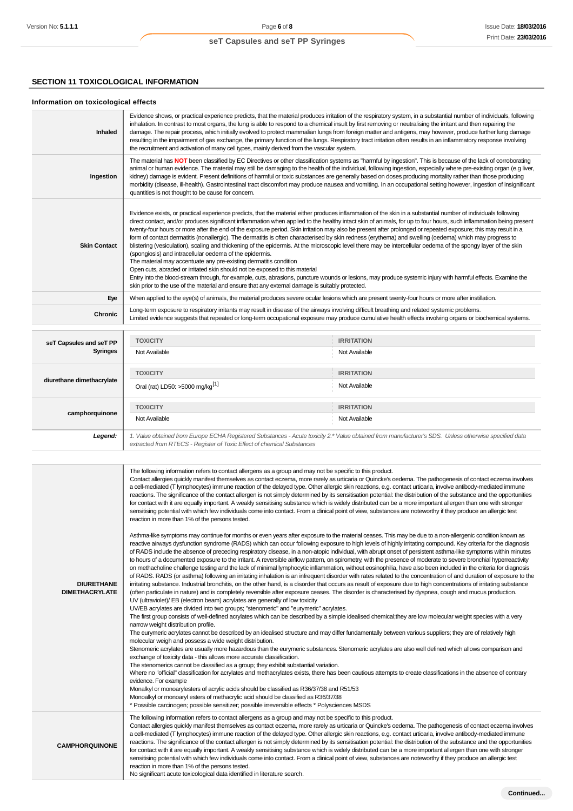# **SECTION 11 TOXICOLOGICAL INFORMATION**

# **Information on toxicological effects**

| Inhaled                                    | Evidence shows, or practical experience predicts, that the material produces irritation of the respiratory system, in a substantial number of individuals, following<br>inhalation. In contrast to most organs, the lung is able to respond to a chemical insult by first removing or neutralising the irritant and then repairing the<br>damage. The repair process, which initially evolved to protect mammalian lungs from foreign matter and antigens, may however, produce further lung damage<br>resulting in the impairment of gas exchange, the primary function of the lungs. Respiratory tract irritation often results in an inflammatory response involving<br>the recruitment and activation of many cell types, mainly derived from the vascular system.                                                                                                                                                                                                                                                                                                                                                                                                                                                                                                                                                |                   |  |  |
|--------------------------------------------|-----------------------------------------------------------------------------------------------------------------------------------------------------------------------------------------------------------------------------------------------------------------------------------------------------------------------------------------------------------------------------------------------------------------------------------------------------------------------------------------------------------------------------------------------------------------------------------------------------------------------------------------------------------------------------------------------------------------------------------------------------------------------------------------------------------------------------------------------------------------------------------------------------------------------------------------------------------------------------------------------------------------------------------------------------------------------------------------------------------------------------------------------------------------------------------------------------------------------------------------------------------------------------------------------------------------------|-------------------|--|--|
| Ingestion                                  | The material has NOT been classified by EC Directives or other classification systems as "harmful by ingestion". This is because of the lack of corroborating<br>animal or human evidence. The material may still be damaging to the health of the individual, following ingestion, especially where pre-existing organ (e.g liver,<br>kidney) damage is evident. Present definitions of harmful or toxic substances are generally based on doses producing mortality rather than those producing<br>morbidity (disease, ill-health). Gastrointestinal tract discomfort may produce nausea and vomiting. In an occupational setting however, ingestion of insignificant<br>quantities is not thought to be cause for concern.                                                                                                                                                                                                                                                                                                                                                                                                                                                                                                                                                                                         |                   |  |  |
| <b>Skin Contact</b>                        | Evidence exists, or practical experience predicts, that the material either produces inflammation of the skin in a substantial number of individuals following<br>direct contact, and/or produces significant inflammation when applied to the healthy intact skin of animals, for up to four hours, such inflammation being present<br>twenty-four hours or more after the end of the exposure period. Skin irritation may also be present after prolonged or repeated exposure; this may result in a<br>form of contact dermatitis (nonallergic). The dermatitis is often characterised by skin redness (erythema) and swelling (oedema) which may progress to<br>blistering (vesiculation), scaling and thickening of the epidermis. At the microscopic level there may be intercellular oedema of the spongy layer of the skin<br>(spongiosis) and intracellular oedema of the epidermis.<br>The material may accentuate any pre-existing dermatitis condition<br>Open cuts, abraded or irritated skin should not be exposed to this material<br>Entry into the blood-stream through, for example, cuts, abrasions, puncture wounds or lesions, may produce systemic injury with harmful effects. Examine the<br>skin prior to the use of the material and ensure that any external damage is suitably protected. |                   |  |  |
| Eye                                        | When applied to the eye(s) of animals, the material produces severe ocular lesions which are present twenty-four hours or more after instillation.                                                                                                                                                                                                                                                                                                                                                                                                                                                                                                                                                                                                                                                                                                                                                                                                                                                                                                                                                                                                                                                                                                                                                                    |                   |  |  |
| Chronic                                    | Long-term exposure to respiratory irritants may result in disease of the airways involving difficult breathing and related systemic problems.<br>Limited evidence suggests that repeated or long-term occupational exposure may produce cumulative health effects involving organs or biochemical systems.                                                                                                                                                                                                                                                                                                                                                                                                                                                                                                                                                                                                                                                                                                                                                                                                                                                                                                                                                                                                            |                   |  |  |
|                                            | <b>TOXICITY</b>                                                                                                                                                                                                                                                                                                                                                                                                                                                                                                                                                                                                                                                                                                                                                                                                                                                                                                                                                                                                                                                                                                                                                                                                                                                                                                       | <b>IRRITATION</b> |  |  |
| seT Capsules and seT PP<br><b>Syringes</b> | Not Available                                                                                                                                                                                                                                                                                                                                                                                                                                                                                                                                                                                                                                                                                                                                                                                                                                                                                                                                                                                                                                                                                                                                                                                                                                                                                                         | Not Available     |  |  |
|                                            | <b>TOXICITY</b>                                                                                                                                                                                                                                                                                                                                                                                                                                                                                                                                                                                                                                                                                                                                                                                                                                                                                                                                                                                                                                                                                                                                                                                                                                                                                                       | <b>IRRITATION</b> |  |  |
| diurethane dimethacrylate                  | Oral (rat) LD50: >5000 mg/kg <sup>[1]</sup>                                                                                                                                                                                                                                                                                                                                                                                                                                                                                                                                                                                                                                                                                                                                                                                                                                                                                                                                                                                                                                                                                                                                                                                                                                                                           | Not Available     |  |  |
|                                            | <b>TOXICITY</b>                                                                                                                                                                                                                                                                                                                                                                                                                                                                                                                                                                                                                                                                                                                                                                                                                                                                                                                                                                                                                                                                                                                                                                                                                                                                                                       | <b>IRRITATION</b> |  |  |
| camphorquinone                             | Not Available                                                                                                                                                                                                                                                                                                                                                                                                                                                                                                                                                                                                                                                                                                                                                                                                                                                                                                                                                                                                                                                                                                                                                                                                                                                                                                         | Not Available     |  |  |
| Legend:                                    | 1. Value obtained from Europe ECHA Registered Substances - Acute toxicity 2.* Value obtained from manufacturer's SDS. Unless otherwise specified data<br>extracted from RTECS - Register of Toxic Effect of chemical Substances                                                                                                                                                                                                                                                                                                                                                                                                                                                                                                                                                                                                                                                                                                                                                                                                                                                                                                                                                                                                                                                                                       |                   |  |  |

| <b>DIURETHANE</b><br><b>DIMETHACRYLATE</b> | The following information refers to contact allergens as a group and may not be specific to this product.<br>Contact allergies quickly manifest themselves as contact eczema, more rarely as urticaria or Quincke's oedema. The pathogenesis of contact eczema involves<br>a cell-mediated (T lymphocytes) immune reaction of the delayed type. Other allergic skin reactions, e.g. contact urticaria, involve antibody-mediated immune<br>reactions. The significance of the contact allergen is not simply determined by its sensitisation potential: the distribution of the substance and the opportunities<br>for contact with it are equally important. A weakly sensitising substance which is widely distributed can be a more important allergen than one with stronger<br>sensitising potential with which few individuals come into contact. From a clinical point of view, substances are noteworthy if they produce an allergic test<br>reaction in more than 1% of the persons tested.                                                                                                                                                                                                                                                                                                                                                                                                                                                                                                                                                                                                                                                                           |
|--------------------------------------------|--------------------------------------------------------------------------------------------------------------------------------------------------------------------------------------------------------------------------------------------------------------------------------------------------------------------------------------------------------------------------------------------------------------------------------------------------------------------------------------------------------------------------------------------------------------------------------------------------------------------------------------------------------------------------------------------------------------------------------------------------------------------------------------------------------------------------------------------------------------------------------------------------------------------------------------------------------------------------------------------------------------------------------------------------------------------------------------------------------------------------------------------------------------------------------------------------------------------------------------------------------------------------------------------------------------------------------------------------------------------------------------------------------------------------------------------------------------------------------------------------------------------------------------------------------------------------------------------------------------------------------------------------------------------------------|
|                                            | Asthma-like symptoms may continue for months or even years after exposure to the material ceases. This may be due to a non-allergenic condition known as<br>reactive airways dysfunction syndrome (RADS) which can occur following exposure to high levels of highly irritating compound. Key criteria for the diagnosis<br>of RADS include the absence of preceding respiratory disease, in a non-atopic individual, with abrupt onset of persistent asthma-like symptoms within minutes<br>to hours of a documented exposure to the irritant. A reversible airflow pattern, on spirometry, with the presence of moderate to severe bronchial hyperreactivity<br>on methacholine challenge testing and the lack of minimal lymphocytic inflammation, without eosinophilia, have also been included in the criteria for diagnosis<br>of RADS. RADS (or asthma) following an irritating inhalation is an infrequent disorder with rates related to the concentration of and duration of exposure to the<br>irritating substance. Industrial bronchitis, on the other hand, is a disorder that occurs as result of exposure due to high concentrations of irritating substance<br>(often particulate in nature) and is completely reversible after exposure ceases. The disorder is characterised by dyspnea, cough and mucus production.<br>UV (ultraviolet)/ EB (electron beam) acrylates are generally of low toxicity<br>UV/EB acrylates are divided into two groups; "stenomeric" and "eurymeric" acrylates.<br>The first group consists of well-defined acrylates which can be described by a simple idealised chemical; they are low molecular weight species with a very |
|                                            | narrow weight distribution profile.<br>The eurymeric acrylates cannot be described by an idealised structure and may differ fundamentally between various suppliers; they are of relatively high<br>molecular weigh and possess a wide weight distribution.<br>Stenomeric acrylates are usually more hazardous than the eurymeric substances. Stenomeric acrylates are also well defined which allows comparison and<br>exchange of toxicity data - this allows more accurate classification.<br>The stenomerics cannot be classified as a group; they exhibit substantial variation.<br>Where no "official" classification for acrylates and methacrylates exists, there has been cautious attempts to create classifications in the absence of contrary<br>evidence. For example<br>Monalkyl or monoarylesters of acrylic acids should be classified as R36/37/38 and R51/53<br>Monoalkyl or monoaryl esters of methacrylic acid should be classified as R36/37/38<br>* Possible carcinogen; possible sensitizer; possible irreversible effects * Polysciences MSDS                                                                                                                                                                                                                                                                                                                                                                                                                                                                                                                                                                                                          |
| <b>CAMPHORQUINONE</b>                      | The following information refers to contact allergens as a group and may not be specific to this product.<br>Contact allergies quickly manifest themselves as contact eczema, more rarely as urticaria or Quincke's oedema. The pathogenesis of contact eczema involves<br>a cell-mediated (T lymphocytes) immune reaction of the delayed type. Other allergic skin reactions, e.g. contact urticaria, involve antibody-mediated immune<br>reactions. The significance of the contact allergen is not simply determined by its sensitisation potential: the distribution of the substance and the opportunities<br>for contact with it are equally important. A weakly sensitising substance which is widely distributed can be a more important allergen than one with stronger<br>sensitising potential with which few individuals come into contact. From a clinical point of view, substances are noteworthy if they produce an allergic test<br>reaction in more than 1% of the persons tested.<br>No significant acute toxicological data identified in literature search.                                                                                                                                                                                                                                                                                                                                                                                                                                                                                                                                                                                               |
|                                            |                                                                                                                                                                                                                                                                                                                                                                                                                                                                                                                                                                                                                                                                                                                                                                                                                                                                                                                                                                                                                                                                                                                                                                                                                                                                                                                                                                                                                                                                                                                                                                                                                                                                                |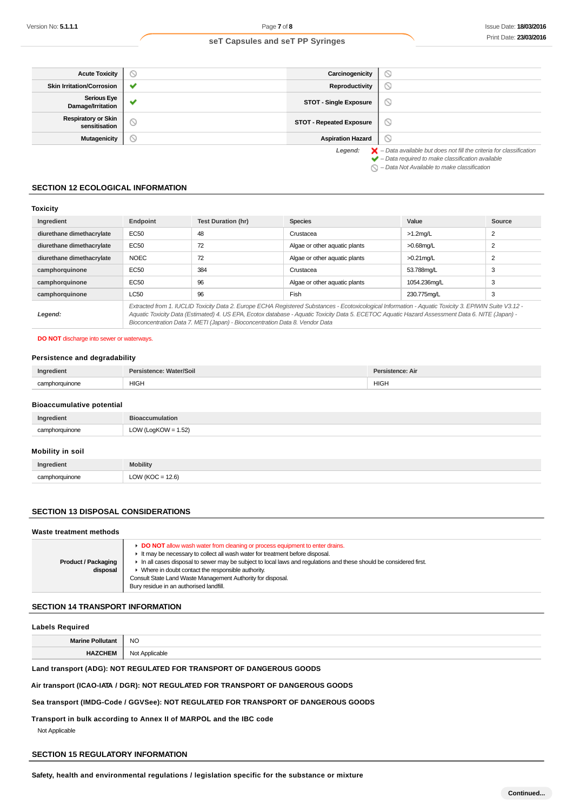| <b>Acute Toxicity</b>                       | N                     | Carcinogenicity                 | 0                                                                                                                                                                  |
|---------------------------------------------|-----------------------|---------------------------------|--------------------------------------------------------------------------------------------------------------------------------------------------------------------|
| <b>Skin Irritation/Corrosion</b>            | ✔                     | Reproductivity                  | $\circledcirc$                                                                                                                                                     |
| <b>Serious Eye</b><br>Damage/Irritation     | $\tilde{\phantom{a}}$ | <b>STOT - Single Exposure</b>   | O                                                                                                                                                                  |
| <b>Respiratory or Skin</b><br>sensitisation | $\circ$               | <b>STOT - Repeated Exposure</b> | ⊙                                                                                                                                                                  |
| Mutagenicity                                | N                     | <b>Aspiration Hazard</b>        | $\circ$                                                                                                                                                            |
|                                             |                       | Legend:                         | $\blacktriangleright$ - Data available but does not fill the criteria for classification<br>$\blacktriangleright$ - Data required to make classification available |

– Data Not Available to make classification

#### **SECTION 12 ECOLOGICAL INFORMATION**

### **Toxicity**

| Ingredient                | Endpoint                                                                                                                                                                                                                                                                                                                                                                                 | <b>Test Duration (hr)</b> | <b>Species</b>                | Value        | Source         |
|---------------------------|------------------------------------------------------------------------------------------------------------------------------------------------------------------------------------------------------------------------------------------------------------------------------------------------------------------------------------------------------------------------------------------|---------------------------|-------------------------------|--------------|----------------|
| diurethane dimethacrylate | EC50                                                                                                                                                                                                                                                                                                                                                                                     | 48                        | Crustacea                     | $>1.2$ mg/L  | 2              |
| diurethane dimethacrylate | EC50                                                                                                                                                                                                                                                                                                                                                                                     | 72                        | Algae or other aquatic plants | >0.68mg/L    | 2              |
| diurethane dimethacrylate | <b>NOEC</b>                                                                                                                                                                                                                                                                                                                                                                              | 72                        | Algae or other aquatic plants | $>0.21$ mg/L | $\overline{2}$ |
| camphorquinone            | EC50                                                                                                                                                                                                                                                                                                                                                                                     | 384                       | Crustacea                     | 53.788mg/L   | 3              |
| camphorquinone            | EC50                                                                                                                                                                                                                                                                                                                                                                                     | 96                        | Algae or other aquatic plants | 1054.236mg/L | 3              |
| camphorquinone            | LC50                                                                                                                                                                                                                                                                                                                                                                                     | 96                        | Fish                          | 230.775mg/L  | 3              |
| Legend:                   | Extracted from 1. IUCLID Toxicity Data 2. Europe ECHA Registered Substances - Ecotoxicological Information - Aquatic Toxicity 3. EPIWIN Suite V3.12 -<br>Aquatic Toxicity Data (Estimated) 4. US EPA, Ecotox database - Aquatic Toxicity Data 5. ECETOC Aquatic Hazard Assessment Data 6. NITE (Japan) -<br>Bioconcentration Data 7. METI (Japan) - Bioconcentration Data 8. Vendor Data |                           |                               |              |                |

#### **DO NOT** discharge into sewer or waterways.

#### **Persistence and degradability**

| Ingredient     | Persistence: Water/Soil | Persistence: Air |
|----------------|-------------------------|------------------|
| camphorquinone | <b>HIGH</b>             | <b>HIGH</b>      |

# **Bioaccumulative potential**

| Ingredient     | <b>Bioaccumulation</b> |
|----------------|------------------------|
| camphorquinone | LOW (LogKOW = $1.52$ ) |
|                |                        |

#### **Mobility in soil**

| Ingredient              | Mobility                                                             |
|-------------------------|----------------------------------------------------------------------|
| cor<br>bhorauinone<br>. | $\bigcap_{\Lambda}$<br>12.6<br>11201<br>$\tilde{}$<br>$\sim$<br>$ -$ |

## **SECTION 13 DISPOSAL CONSIDERATIONS**

#### **Waste treatment methods**

# **SECTION 14 TRANSPORT INFORMATION**

### **Labels Required**

**Marine Pollutant** NO

**HAZCHEM** Not Applicable

# **Land transport (ADG): NOT REGULATED FOR TRANSPORT OF DANGEROUS GOODS**

#### **Air transport (ICAO-IATA / DGR): NOT REGULATED FOR TRANSPORT OF DANGEROUS GOODS**

#### **Sea transport (IMDG-Code / GGVSee): NOT REGULATED FOR TRANSPORT OF DANGEROUS GOODS**

# **Transport in bulk according to Annex II of MARPOL and the IBC code**

Not Applicable

# **SECTION 15 REGULATORY INFORMATION**